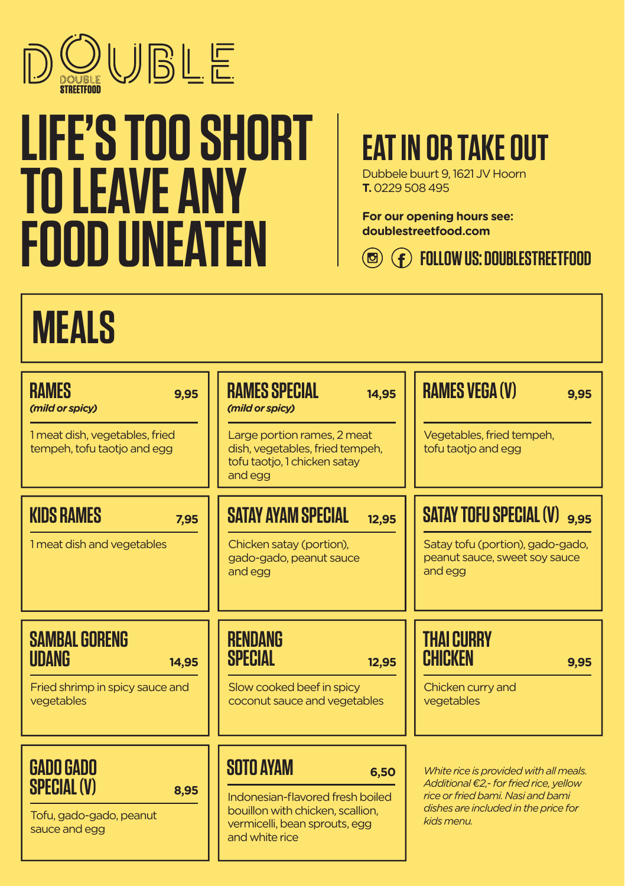

# **LIFE'S TOO SHORT TO LEAVE ANY FOOD UNEATEN**

#### **EAT IN OR TAKE OUT**

Dubbele buurt 9, 1621 JV Hoorn **T.** 0229 508 495

**For our opening hours see: doublestreetfood.com**

**FOLLOW US: DOUBLESTREETFOOD**

### **MEALS**

| <b>RAMES</b><br>9.95<br>(mild or spicy)                                                    | RAMES SPECIAL<br>14,95<br>(mild or spicy)                                                                                                           | <b>RAMES VEGA (V)</b><br>9.95                                                                                                                                                         |
|--------------------------------------------------------------------------------------------|-----------------------------------------------------------------------------------------------------------------------------------------------------|---------------------------------------------------------------------------------------------------------------------------------------------------------------------------------------|
| 1 meat dish, vegetables, fried<br>tempeh, tofu taotjo and egg                              | Large portion rames, 2 meat<br>dish, vegetables, fried tempeh,<br>tofu taotjo, 1 chicken satay<br>and egg                                           | Vegetables, fried tempeh,<br>tofu taotjo and egg                                                                                                                                      |
| <b>KIDS RAMES</b><br>7.95                                                                  | <b>SATAY AYAM SPECIAL</b><br>12,95                                                                                                                  | <b>SATAY TOFU SPECIAL (V)</b> 9.95                                                                                                                                                    |
| 1 meat dish and vegetables                                                                 | Chicken satay (portion),<br>gado-gado, peanut sauce<br>and egg                                                                                      | Satay tofu (portion), gado-gado,<br>peanut sauce, sweet soy sauce<br>and egg                                                                                                          |
| <b>SAMBAL GORENG</b><br>UDANG<br>14,95                                                     | <b>RENDANG</b><br>SPECIAL<br>12,95                                                                                                                  | <b>THAI CURRY</b><br>CHICKEN<br>9,95                                                                                                                                                  |
| Fried shrimp in spicy sauce and<br>vegetables                                              | Slow cooked beef in spicy<br>coconut sauce and vegetables                                                                                           | Chicken curry and<br>vegetables                                                                                                                                                       |
| <b>GADO GADO</b><br><b>SPECIAL (V)</b><br>8,95<br>Tofu, gado-gado, peanut<br>sauce and egg | <b>SOTO AYAM</b><br>6,50<br>Indonesian-flavored fresh boiled<br>bouillon with chicken, scallion,<br>vermicelli, bean sprouts, egg<br>and white rice | White rice is provided with all meals.<br>Additional $\epsilon$ 2,- for fried rice, yellow<br>rice or fried bami. Nasi and bami<br>dishes are included in the price for<br>kids menu. |